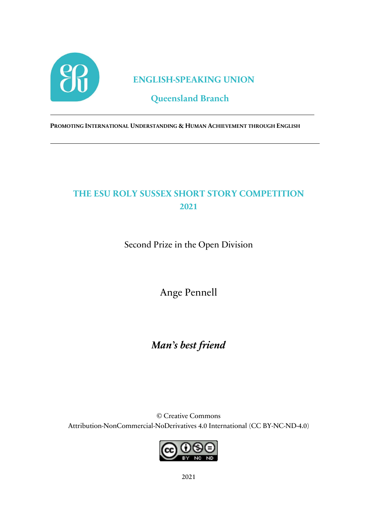

### **ENGLISH-SPEAKING UNION**

## **Queensland Branch**

**PROMOTING INTERNATIONAL UNDERSTANDING & HUMAN ACHIEVEMENT THROUGH ENGLISH**

# **THE ESU ROLY SUSSEX SHORT STORY COMPETITION 2021**

Second Prize in the Open Division

Ange Pennell

# *Man's best friend*

© Creative Commons Attribution-NonCommercial-NoDerivatives 4.0 International (CC BY-NC-ND-4.0)



2021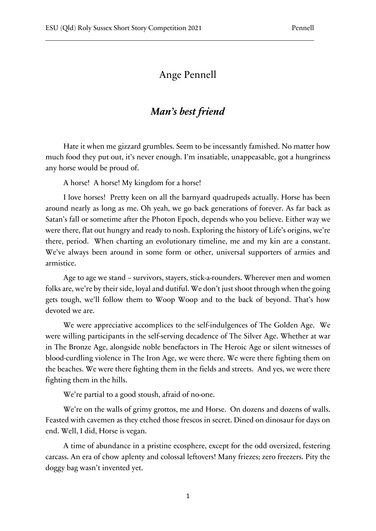#### Ange Pennell

### *Man's best friend*

Hate it when me gizzard grumbles. Seem to be incessantly famished. No matter how much food they put out, it's never enough. I'm insatiable, unappeasable, got a hungriness any horse would be proud of.

A horse! A horse! My kingdom for a horse!

I love horses! Pretty keen on all the barnyard quadrupeds actually. Horse has been around nearly as long as me. Oh yeah, we go back generations of forever. As far back as Satan's fall or sometime after the Photon Epoch, depends who you believe. Either way we were there, flat out hungry and ready to nosh. Exploring the history of Life's origins, we're there, period. When charting an evolutionary timeline, me and my kin are a constant. We've always been around in some form or other, universal supporters of armies and armistice.

Age to age we stand – survivors, stayers, stick-a-rounders. Wherever men and women folks are, we're by their side, loyal and dutiful. We don't just shoot through when the going gets tough, we'll follow them to Woop Woop and to the back of beyond. That's how devoted we are.

We were appreciative accomplices to the self-indulgences of The Golden Age. We were willing participants in the self-serving decadence of The Silver Age. Whether at war in The Bronze Age, alongside noble benefactors in The Heroic Age or silent witnesses of blood-curdling violence in The Iron Age, we were there. We were there fighting them on the beaches. We were there fighting them in the fields and streets. And yes, we were there fighting them in the hills.

We're partial to a good stoush, afraid of no-one.

We're on the walls of grimy grottos, me and Horse. On dozens and dozens of walls. Feasted with cavemen as they etched those frescos in secret. Dined on dinosaur for days on end. Well, I did, Horse is vegan.

A time of abundance in a pristine ecosphere, except for the odd oversized, festering carcass. An era of chow aplenty and colossal leftovers! Many friezes; zero freezers. Pity the doggy bag wasn't invented yet.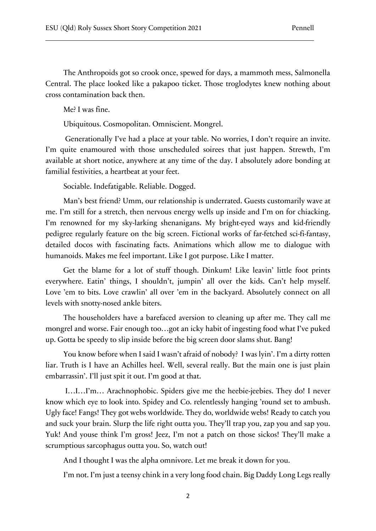The Anthropoids got so crook once, spewed for days, a mammoth mess, Salmonella Central. The place looked like a pakapoo ticket. Those troglodytes knew nothing about cross contamination back then.

Me? I was fine.

Ubiquitous. Cosmopolitan. Omniscient. Mongrel.

Generationally I've had a place at your table. No worries, I don't require an invite. I'm quite enamoured with those unscheduled soirees that just happen. Strewth, I'm available at short notice, anywhere at any time of the day. I absolutely adore bonding at familial festivities, a heartbeat at your feet.

Sociable. Indefatigable. Reliable. Dogged.

Man's best friend? Umm, our relationship is underrated. Guests customarily wave at me. I'm still for a stretch, then nervous energy wells up inside and I'm on for chiacking. I'm renowned for my sky-larking shenanigans. My bright-eyed ways and kid-friendly pedigree regularly feature on the big screen. Fictional works of far-fetched sci-fi-fantasy, detailed docos with fascinating facts. Animations which allow me to dialogue with humanoids. Makes me feel important. Like I got purpose. Like I matter.

Get the blame for a lot of stuff though. Dinkum! Like leavin' little foot prints everywhere. Eatin' things, I shouldn't, jumpin' all over the kids. Can't help myself. Love 'em to bits. Love crawlin' all over 'em in the backyard. Absolutely connect on all levels with snotty-nosed ankle biters.

The householders have a barefaced aversion to cleaning up after me. They call me mongrel and worse. Fair enough too…got an icky habit of ingesting food what I've puked up. Gotta be speedy to slip inside before the big screen door slams shut. Bang!

You know before when I said I wasn't afraid of nobody? I was lyin'. I'm a dirty rotten liar. Truth is I have an Achilles heel. Well, several really. But the main one is just plain embarrassin'. I'll just spit it out. I'm good at that.

I…I…I'm… Arachnophobic. Spiders give me the heebie-jeebies. They do! I never know which eye to look into. Spidey and Co. relentlessly hanging 'round set to ambush. Ugly face! Fangs! They got webs worldwide. They do, worldwide webs! Ready to catch you and suck your brain. Slurp the life right outta you. They'll trap you, zap you and sap you. Yuk! And youse think I'm gross! Jeez, I'm not a patch on those sickos! They'll make a scrumptious sarcophagus outta you. So, watch out!

And I thought I was the alpha omnivore. Let me break it down for you.

I'm not. I'm just a teensy chink in a very long food chain. Big Daddy Long Legs really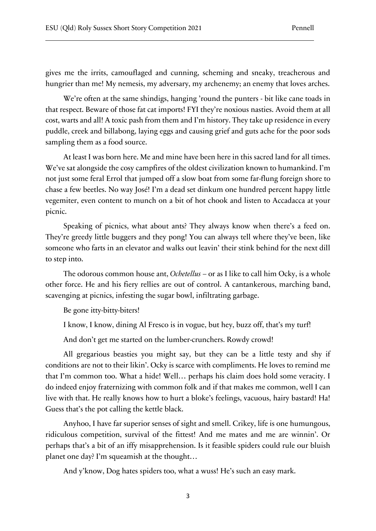gives me the irrits, camouflaged and cunning, scheming and sneaky, treacherous and hungrier than me! My nemesis, my adversary, my archenemy; an enemy that loves arches.

We're often at the same shindigs, hanging 'round the punters - bit like cane toads in that respect. Beware of those fat cat imports! FYI they're noxious nasties. Avoid them at all cost, warts and all! A toxic pash from them and I'm history. They take up residence in every puddle, creek and billabong, laying eggs and causing grief and guts ache for the poor sods sampling them as a food source.

At least I was born here. Me and mine have been here in this sacred land for all times. We've sat alongside the cosy campfires of the oldest civilization known to humankind. I'm not just some feral Errol that jumped off a slow boat from some far-flung foreign shore to chase a few beetles. No way José! I'm a dead set dinkum one hundred percent happy little vegemiter, even content to munch on a bit of hot chook and listen to Accadacca at your picnic.

Speaking of picnics, what about ants? They always know when there's a feed on. They're greedy little buggers and they pong! You can always tell where they've been, like someone who farts in an elevator and walks out leavin' their stink behind for the next dill to step into.

The odorous common house ant, *Ochetellus* – or as I like to call him Ocky, is a whole other force. He and his fiery rellies are out of control. A cantankerous, marching band, scavenging at picnics, infesting the sugar bowl, infiltrating garbage.

Be gone itty-bitty-biters!

I know, I know, dining Al Fresco is in vogue, but hey, buzz off, that's my turf!

And don't get me started on the lumber-crunchers. Rowdy crowd!

All gregarious beasties you might say, but they can be a little testy and shy if conditions are not to their likin'. Ocky is scarce with compliments. He loves to remind me that I'm common too. What a hide! Well… perhaps his claim does hold some veracity. I do indeed enjoy fraternizing with common folk and if that makes me common, well I can live with that. He really knows how to hurt a bloke's feelings, vacuous, hairy bastard! Ha! Guess that's the pot calling the kettle black.

Anyhoo, I have far superior senses of sight and smell. Crikey, life is one humungous, ridiculous competition, survival of the fittest! And me mates and me are winnin'. Or perhaps that's a bit of an iffy misapprehension. Is it feasible spiders could rule our bluish planet one day? I'm squeamish at the thought…

And y'know, Dog hates spiders too, what a wuss! He's such an easy mark.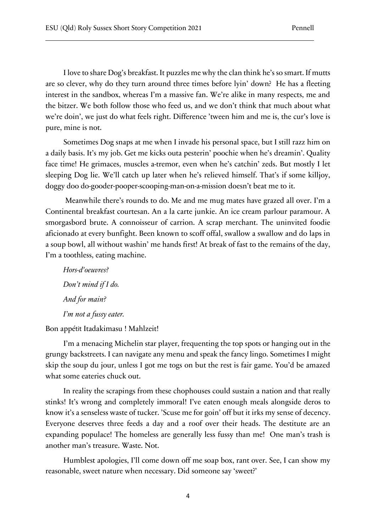I love to share Dog's breakfast. It puzzles me why the clan think he's so smart. If mutts are so clever, why do they turn around three times before lyin' down? He has a fleeting interest in the sandbox, whereas I'm a massive fan. We're alike in many respects, me and the bitzer. We both follow those who feed us, and we don't think that much about what we're doin', we just do what feels right. Difference 'tween him and me is, the cur's love is pure, mine is not.

Sometimes Dog snaps at me when I invade his personal space, but I still razz him on a daily basis. It's my job. Get me kicks outa pesterin' poochie when he's dreamin'. Quality face time! He grimaces, muscles a-tremor, even when he's catchin' zeds. But mostly I let sleeping Dog lie. We'll catch up later when he's relieved himself. That's if some killjoy, doggy doo do-gooder-pooper-scooping-man-on-a-mission doesn't beat me to it.

Meanwhile there's rounds to do. Me and me mug mates have grazed all over. I'm a Continental breakfast courtesan. An a la carte junkie. An ice cream parlour paramour. A smorgasbord brute. A connoisseur of carrion. A scrap merchant. The uninvited foodie aficionado at every bunfight. Been known to scoff offal, swallow a swallow and do laps in a soup bowl, all without washin' me hands first! At break of fast to the remains of the day, I'm a toothless, eating machine.

*Hors-d'oeuvres? Don't mind if I do. And for main? I'm not a fussy eater.* 

#### Bon appétit Itadakimasu ! Mahlzeit!

I'm a menacing Michelin star player, frequenting the top spots or hanging out in the grungy backstreets. I can navigate any menu and speak the fancy lingo. Sometimes I might skip the soup du jour, unless I got me togs on but the rest is fair game. You'd be amazed what some eateries chuck out.

In reality the scrapings from these chophouses could sustain a nation and that really stinks! It's wrong and completely immoral! I've eaten enough meals alongside deros to know it's a senseless waste of tucker. 'Scuse me for goin' off but it irks my sense of decency. Everyone deserves three feeds a day and a roof over their heads. The destitute are an expanding populace! The homeless are generally less fussy than me! One man's trash is another man's treasure. Waste. Not.

Humblest apologies, I'll come down off me soap box, rant over. See, I can show my reasonable, sweet nature when necessary. Did someone say 'sweet?'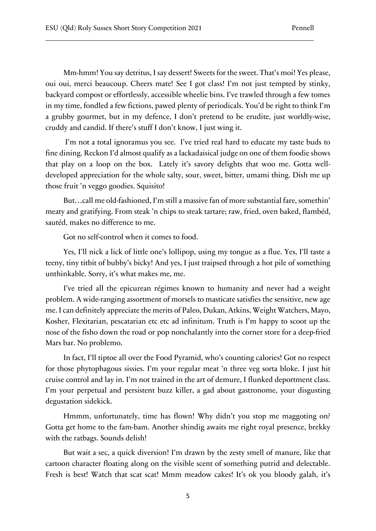Mm-hmm! You say detritus, I say dessert! Sweets for the sweet. That's moi! Yes please, oui oui, merci beaucoup. Cheers mate! See I got class! I'm not just tempted by stinky, backyard compost or effortlessly, accessible wheelie bins. I've trawled through a few tomes in my time, fondled a few fictions, pawed plenty of periodicals. You'd be right to think I'm a grubby gourmet, but in my defence, I don't pretend to be erudite, just worldly-wise, cruddy and candid. If there's stuff I don't know, I just wing it.

I'm not a total ignoramus you see. I've tried real hard to educate my taste buds to fine dining. Reckon I'd almost qualify as a lackadaisical judge on one of them foodie shows that play on a loop on the box. Lately it's savory delights that woo me. Gotta welldeveloped appreciation for the whole salty, sour, sweet, bitter, umami thing. Dish me up those fruit 'n veggo goodies. Squisito!

But…call me old-fashioned, I'm still a massive fan of more substantial fare, somethin' meaty and gratifying. From steak 'n chips to steak tartare; raw, fried, oven baked, flambéd, sautéd, makes no difference to me.

Got no self-control when it comes to food.

Yes, I'll nick a lick of little one's lollipop, using my tongue as a flue. Yes, I'll taste a teeny, tiny titbit of bubby's bicky! And yes, I just traipsed through a hot pile of something unthinkable. Sorry, it's what makes me, me.

I've tried all the epicurean régimes known to humanity and never had a weight problem. A wide-ranging assortment of morsels to masticate satisfies the sensitive, new age me. I can definitely appreciate the merits of Paleo, Dukan, Atkins, Weight Watchers, Mayo, Kosher, Flexitarian, pescatarian etc etc ad infinitum. Truth is I'm happy to scoot up the nose of the fisho down the road or pop nonchalantly into the corner store for a deep-fried Mars bar. No problemo.

In fact, I'll tiptoe all over the Food Pyramid, who's counting calories! Got no respect for those phytophagous sissies. I'm your regular meat 'n three veg sorta bloke. I just hit cruise control and lay in. I'm not trained in the art of demure, I flunked deportment class. I'm your perpetual and persistent buzz killer, a gad about gastronome, your disgusting degustation sidekick.

Hmmm, unfortunately, time has flown! Why didn't you stop me maggoting on? Gotta get home to the fam-bam. Another shindig awaits me right royal presence, brekky with the ratbags. Sounds delish!

But wait a sec, a quick diversion! I'm drawn by the zesty smell of manure, like that cartoon character floating along on the visible scent of something putrid and delectable. Fresh is best! Watch that scat scat! Mmm meadow cakes! It's ok you bloody galah, it's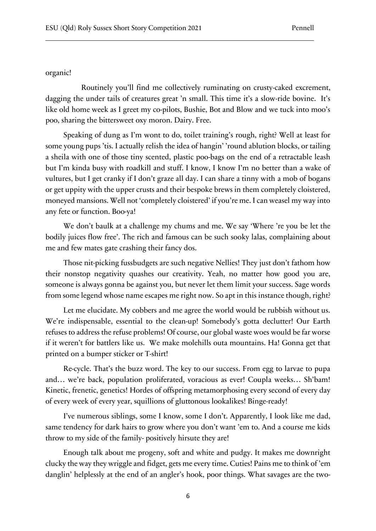#### organic!

Routinely you'll find me collectively ruminating on crusty-caked excrement, dagging the under tails of creatures great 'n small. This time it's a slow-ride bovine. It's like old home week as I greet my co-pilots, Bushie, Bot and Blow and we tuck into moo's poo, sharing the bittersweet oxy moron. Dairy. Free.

Speaking of dung as I'm wont to do, toilet training's rough, right? Well at least for some young pups 'tis. I actually relish the idea of hangin' 'round ablution blocks, or tailing a sheila with one of those tiny scented, plastic poo-bags on the end of a retractable leash but I'm kinda busy with roadkill and stuff. I know, I know I'm no better than a wake of vultures, but I get cranky if I don't graze all day. I can share a tinny with a mob of bogans or get uppity with the upper crusts and their bespoke brews in them completely cloistered, moneyed mansions. Well not 'completely cloistered' if you're me. I can weasel my way into any fete or function. Boo-ya!

We don't baulk at a challenge my chums and me. We say 'Where 're you be let the bodily juices flow free'. The rich and famous can be such sooky lalas, complaining about me and few mates gate crashing their fancy dos.

Those nit-picking fussbudgets are such negative Nellies! They just don't fathom how their nonstop negativity quashes our creativity. Yeah, no matter how good you are, someone is always gonna be against you, but never let them limit your success. Sage words from some legend whose name escapes me right now. So apt in this instance though, right?

Let me elucidate. My cobbers and me agree the world would be rubbish without us. We're indispensable, essential to the clean-up! Somebody's gotta declutter! Our Earth refuses to address the refuse problems! Of course, our global waste woes would be far worse if it weren't for battlers like us. We make molehills outa mountains. Ha! Gonna get that printed on a bumper sticker or T-shirt!

Re-cycle. That's the buzz word. The key to our success. From egg to larvae to pupa and… we're back, population proliferated, voracious as ever! Coupla weeks… Sh'bam! Kinetic, frenetic, genetics! Hordes of offspring metamorphosing every second of every day of every week of every year, squillions of gluttonous lookalikes! Binge-ready!

I've numerous siblings, some I know, some I don't. Apparently, I look like me dad, same tendency for dark hairs to grow where you don't want 'em to. And a course me kids throw to my side of the family- positively hirsute they are!

Enough talk about me progeny, soft and white and pudgy. It makes me downright clucky the way they wriggle and fidget, gets me every time. Cuties! Pains me to think of 'em danglin' helplessly at the end of an angler's hook, poor things. What savages are the two